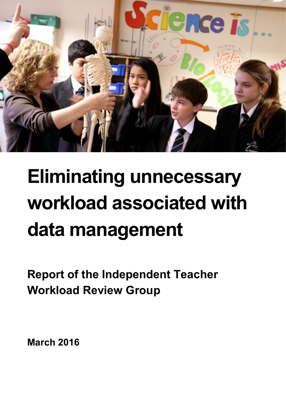

# **Eliminating unnecessary workload associated with data management**

**Report of the Independent Teacher Workload Review Group**

**March 2016**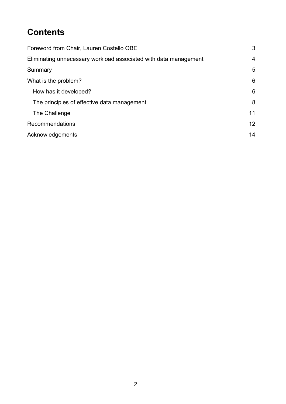# **Contents**

| Foreword from Chair, Lauren Costello OBE                         | 3  |
|------------------------------------------------------------------|----|
| Eliminating unnecessary workload associated with data management | 4  |
| Summary                                                          | 5  |
| What is the problem?                                             | 6  |
| How has it developed?                                            | 6  |
| The principles of effective data management                      | 8  |
| The Challenge                                                    | 11 |
| Recommendations                                                  | 12 |
| Acknowledgements                                                 | 14 |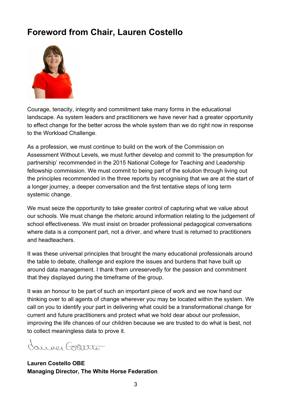## <span id="page-2-0"></span>**Foreword from Chair, Lauren Costello**



Courage, tenacity, integrity and commitment take many forms in the educational landscape. As system leaders and practitioners we have never had a greater opportunity to effect change for the better across the whole system than we do right now in response to the Workload Challenge.

As a profession, we must continue to build on the work of the Commission on Assessment Without Levels, we must further develop and commit to 'the presumption for partnership' recommended in the 2015 National College for Teaching and Leadership fellowship commission. We must commit to being part of the solution through living out the principles recommended in the three reports by recognising that we are at the start of a longer journey, a deeper conversation and the first tentative steps of long term systemic change.

We must seize the opportunity to take greater control of capturing what we value about our schools. We must change the rhetoric around information relating to the judgement of school effectiveness. We must insist on broader professional pedagogical conversations where data is a component part, not a driver, and where trust is returned to practitioners and headteachers.

It was these universal principles that brought the many educational professionals around the table to debate, challenge and explore the issues and burdens that have built up around data management. I thank them unreservedly for the passion and commitment that they displayed during the timeframe of the group.

It was an honour to be part of such an important piece of work and we now hand our thinking over to all agents of change wherever you may be located within the system. We call on you to identify your part in delivering what could be a transformational change for current and future practitioners and protect what we hold dear about our profession, improving the life chances of our children because we are trusted to do what is best, not to collect meaningless data to prove it.

auver Gosterio

**Lauren Costello OBE Managing Director, The White Horse Federation**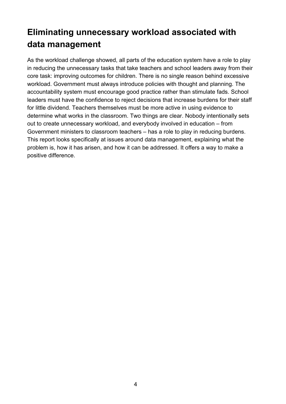# <span id="page-3-0"></span>**Eliminating unnecessary workload associated with data management**

As the workload challenge showed, all parts of the education system have a role to play in reducing the unnecessary tasks that take teachers and school leaders away from their core task: improving outcomes for children. There is no single reason behind excessive workload. Government must always introduce policies with thought and planning. The accountability system must encourage good practice rather than stimulate fads. School leaders must have the confidence to reject decisions that increase burdens for their staff for little dividend. Teachers themselves must be more active in using evidence to determine what works in the classroom. Two things are clear. Nobody intentionally sets out to create unnecessary workload, and everybody involved in education – from Government ministers to classroom teachers – has a role to play in reducing burdens. This report looks specifically at issues around data management, explaining what the problem is, how it has arisen, and how it can be addressed. It offers a way to make a positive difference.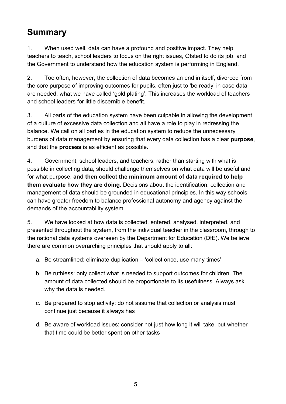# <span id="page-4-0"></span>**Summary**

1. When used well, data can have a profound and positive impact. They help teachers to teach, school leaders to focus on the right issues, Ofsted to do its job, and the Government to understand how the education system is performing in England.

2. Too often, however, the collection of data becomes an end in itself, divorced from the core purpose of improving outcomes for pupils, often just to 'be ready' in case data are needed, what we have called 'gold plating'. This increases the workload of teachers and school leaders for little discernible benefit.

3. All parts of the education system have been culpable in allowing the development of a culture of excessive data collection and all have a role to play in redressing the balance. We call on all parties in the education system to reduce the unnecessary burdens of data management by ensuring that every data collection has a clear **purpose**, and that the **process** is as efficient as possible.

4. Government, school leaders, and teachers, rather than starting with what is possible in collecting data, should challenge themselves on what data will be useful and for what purpose, **and then collect the minimum amount of data required to help them evaluate how they are doing.** Decisions about the identification, collection and management of data should be grounded in educational principles. In this way schools can have greater freedom to balance professional autonomy and agency against the demands of the accountability system.

5. We have looked at how data is collected, entered, analysed, interpreted, and presented throughout the system, from the individual teacher in the classroom, through to the national data systems overseen by the Department for Education (DfE). We believe there are common overarching principles that should apply to all:

- a. Be streamlined: eliminate duplication 'collect once, use many times'
- b. Be ruthless: only collect what is needed to support outcomes for children. The amount of data collected should be proportionate to its usefulness. Always ask why the data is needed.
- c. Be prepared to stop activity: do not assume that collection or analysis must continue just because it always has
- d. Be aware of workload issues: consider not just how long it will take, but whether that time could be better spent on other tasks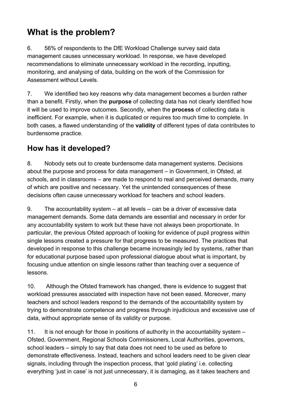# <span id="page-5-0"></span>**What is the problem?**

6. 56% of respondents to the DfE Workload Challenge survey said data management causes unnecessary workload. In response, we have developed recommendations to eliminate unnecessary workload in the recording, inputting, monitoring, and analysing of data, building on the work of the Commission for Assessment without Levels.

7. We identified two key reasons why data management becomes a burden rather than a benefit. Firstly, when the **purpose** of collecting data has not clearly identified how it will be used to improve outcomes. Secondly, when the **process** of collecting data is inefficient. For example, when it is duplicated or requires too much time to complete. In both cases, a flawed understanding of the **validity** of different types of data contributes to burdensome practice.

## <span id="page-5-1"></span>**How has it developed?**

8. Nobody sets out to create burdensome data management systems. Decisions about the purpose and process for data management – in Government, in Ofsted, at schools, and in classrooms – are made to respond to real and perceived demands, many of which are positive and necessary. Yet the unintended consequences of these decisions often cause unnecessary workload for teachers and school leaders.

9. The accountability system – at all levels – can be a driver of excessive data management demands. Some data demands are essential and necessary in order for any accountability system to work but these have not always been proportionate. In particular, the previous Ofsted approach of looking for evidence of pupil progress within single lessons created a pressure for that progress to be measured. The practices that developed in response to this challenge became increasingly led by systems, rather than for educational purpose based upon professional dialogue about what is important, by focusing undue attention on single lessons rather than teaching over a sequence of lessons.

10. Although the Ofsted framework has changed, there is evidence to suggest that workload pressures associated with inspection have not been eased. Moreover, many teachers and school leaders respond to the demands of the accountability system by trying to demonstrate competence and progress through injudicious and excessive use of data, without appropriate sense of its validity or purpose.

11. It is not enough for those in positions of authority in the accountability system – Ofsted, Government, Regional Schools Commissioners, Local Authorities, governors, school leaders – simply to say that data does not need to be used as before to demonstrate effectiveness. Instead, teachers and school leaders need to be given clear signals, including through the inspection process, that 'gold plating' i.e. collecting everything 'just in case' is not just unnecessary, it is damaging, as it takes teachers and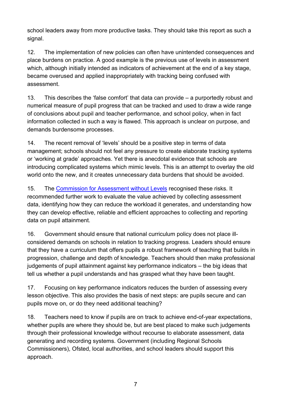school leaders away from more productive tasks. They should take this report as such a signal.

12. The implementation of new policies can often have unintended consequences and place burdens on practice. A good example is the previous use of levels in assessment which, although initially intended as indicators of achievement at the end of a key stage, became overused and applied inappropriately with tracking being confused with assessment.

13. This describes the 'false comfort' that data can provide – a purportedly robust and numerical measure of pupil progress that can be tracked and used to draw a wide range of conclusions about pupil and teacher performance, and school policy, when in fact information collected in such a way is flawed. This approach is unclear on purpose, and demands burdensome processes.

14. The recent removal of 'levels' should be a positive step in terms of data management; schools should not feel any pressure to create elaborate tracking systems or 'working at grade' approaches. Yet there is anecdotal evidence that schools are introducing complicated systems which mimic levels. This is an attempt to overlay the old world onto the new, and it creates unnecessary data burdens that should be avoided.

15. The [Commission for Assessment without Levels](https://www.gov.uk/government/publications/commission-on-assessment-without-levels-final-report) recognised these risks. It recommended further work to evaluate the value achieved by collecting assessment data, identifying how they can reduce the workload it generates, and understanding how they can develop effective, reliable and efficient approaches to collecting and reporting data on pupil attainment.

16. Government should ensure that national curriculum policy does not place illconsidered demands on schools in relation to tracking progress. Leaders should ensure that they have a curriculum that offers pupils a robust framework of teaching that builds in progression, challenge and depth of knowledge. Teachers should then make professional judgements of pupil attainment against key performance indicators – the big ideas that tell us whether a pupil understands and has grasped what they have been taught.

17. Focusing on key performance indicators reduces the burden of assessing every lesson objective. This also provides the basis of next steps: are pupils secure and can pupils move on, or do they need additional teaching?

18. Teachers need to know if pupils are on track to achieve end-of-year expectations, whether pupils are where they should be, but are best placed to make such judgements through their professional knowledge without recourse to elaborate assessment, data generating and recording systems. Government (including Regional Schools Commissioners), Ofsted, local authorities, and school leaders should support this approach.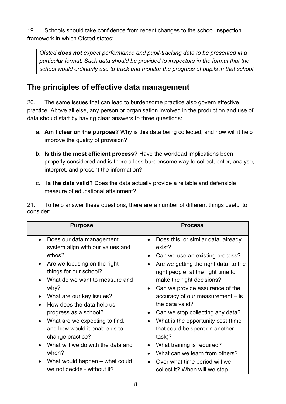19. Schools should take confidence from recent changes to the school inspection framework in which Ofsted states:

*Ofsted does not expect performance and pupil-tracking data to be presented in a particular format. Such data should be provided to inspectors in the format that the school would ordinarily use to track and monitor the progress of pupils in that school.*

## <span id="page-7-0"></span>**The principles of effective data management**

20. The same issues that can lead to burdensome practice also govern effective practice. Above all else, any person or organisation involved in the production and use of data should start by having clear answers to three questions:

- a. **Am I clear on the purpose?** Why is this data being collected, and how will it help improve the quality of provision?
- b. **Is this the most efficient process?** Have the workload implications been properly considered and is there a less burdensome way to collect, enter, analyse, interpret, and present the information?
- c. **Is the data valid?** Does the data actually provide a reliable and defensible measure of educational attainment?

21. To help answer these questions, there are a number of different things useful to consider:

| <b>Purpose</b>                                                            | <b>Process</b>                                                              |  |
|---------------------------------------------------------------------------|-----------------------------------------------------------------------------|--|
| Does our data management<br>$\bullet$<br>system align with our values and | Does this, or similar data, already<br>exist?                               |  |
| ethos?                                                                    | Can we use an existing process?                                             |  |
| Are we focusing on the right<br>$\bullet$<br>things for our school?       | Are we getting the right data, to the<br>right people, at the right time to |  |
| What do we want to measure and<br>$\bullet$                               | make the right decisions?                                                   |  |
| why?                                                                      | Can we provide assurance of the                                             |  |
| What are our key issues?<br>$\bullet$                                     | accuracy of our measurement – is                                            |  |
| How does the data help us<br>$\bullet$                                    | the data valid?                                                             |  |
| progress as a school?                                                     | Can we stop collecting any data?                                            |  |
| What are we expecting to find,<br>$\bullet$                               | What is the opportunity cost (time                                          |  |
| and how would it enable us to                                             | that could be spent on another                                              |  |
| change practice?                                                          | task)?                                                                      |  |
| What will we do with the data and<br>$\bullet$                            | What training is required?                                                  |  |
| when?                                                                     | What can we learn from others?                                              |  |
| What would happen – what could<br>$\bullet$                               | Over what time period will we                                               |  |
| we not decide - without it?                                               | collect it? When will we stop                                               |  |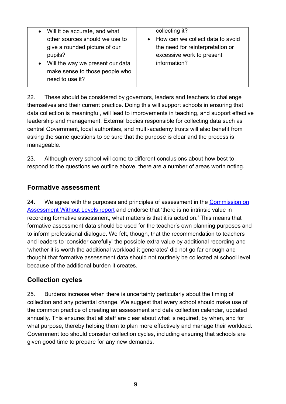| • Will it be accurate, and what                                                                                                                                       | collecting it?                                                                                                      |
|-----------------------------------------------------------------------------------------------------------------------------------------------------------------------|---------------------------------------------------------------------------------------------------------------------|
| other sources should we use to<br>give a rounded picture of our<br>pupils?<br>• Will the way we present our data<br>make sense to those people who<br>need to use it? | • How can we collect data to avoid<br>the need for reinterpretation or<br>excessive work to present<br>information? |

22. These should be considered by governors, leaders and teachers to challenge themselves and their current practice. Doing this will support schools in ensuring that data collection is meaningful, will lead to improvements in teaching, and support effective leadership and management. External bodies responsible for collecting data such as central Government, local authorities, and multi-academy trusts will also benefit from asking the same questions to be sure that the purpose is clear and the process is manageable.

23. Although every school will come to different conclusions about how best to respond to the questions we outline above, there are a number of areas worth noting.

## **Formative assessment**

24. We agree with the purposes and principles of assessment in the Commission on [Assessment Without Levels report](https://www.gov.uk/government/publications/commission-on-assessment-without-levels-final-report) and endorse that 'there is no intrinsic value in recording formative assessment; what matters is that it is acted on.' This means that formative assessment data should be used for the teacher's own planning purposes and to inform professional dialogue. We felt, though, that the recommendation to teachers and leaders to 'consider carefully' the possible extra value by additional recording and 'whether it is worth the additional workload it generates' did not go far enough and thought that formative assessment data should not routinely be collected at school level, because of the additional burden it creates.

## **Collection cycles**

25. Burdens increase when there is uncertainty particularly about the timing of collection and any potential change. We suggest that every school should make use of the common practice of creating an assessment and data collection calendar, updated annually. This ensures that all staff are clear about what is required, by when, and for what purpose, thereby helping them to plan more effectively and manage their workload. Government too should consider collection cycles, including ensuring that schools are given good time to prepare for any new demands.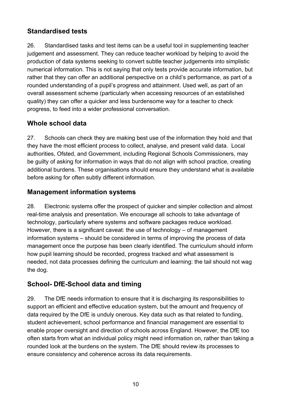## **Standardised tests**

26. Standardised tasks and test items can be a useful tool in supplementing teacher judgement and assessment. They can reduce teacher workload by helping to avoid the production of data systems seeking to convert subtle teacher judgements into simplistic numerical information. This is not saying that only tests provide accurate information, but rather that they can offer an additional perspective on a child's performance, as part of a rounded understanding of a pupil's progress and attainment. Used well, as part of an overall assessment scheme (particularly when accessing resources of an established quality) they can offer a quicker and less burdensome way for a teacher to check progress, to feed into a wider professional conversation.

## **Whole school data**

27. Schools can check they are making best use of the information they hold and that they have the most efficient process to collect, analyse, and present valid data. Local authorities, Ofsted, and Government, including Regional Schools Commissioners, may be guilty of asking for information in ways that do not align with school practice, creating additional burdens. These organisations should ensure they understand what is available before asking for often subtly different information.

## **Management information systems**

28. Electronic systems offer the prospect of quicker and simpler collection and almost real-time analysis and presentation. We encourage all schools to take advantage of technology, particularly where systems and software packages reduce workload. However, there is a significant caveat: the use of technology – of management information systems – should be considered in terms of improving the process of data management once the purpose has been clearly identified. The curriculum should inform how pupil learning should be recorded, progress tracked and what assessment is needed, not data processes defining the curriculum and learning: the tail should not wag the dog.

## **School- DfE-School data and timing**

29. The DfE needs information to ensure that it is discharging its responsibilities to support an efficient and effective education system, but the amount and frequency of data required by the DfE is unduly onerous. Key data such as that related to funding, student achievement, school performance and financial management are essential to enable proper oversight and direction of schools across England. However, the DfE too often starts from what an individual policy might need information on, rather than taking a rounded look at the burdens on the system. The DfE should review its processes to ensure consistency and coherence across its data requirements.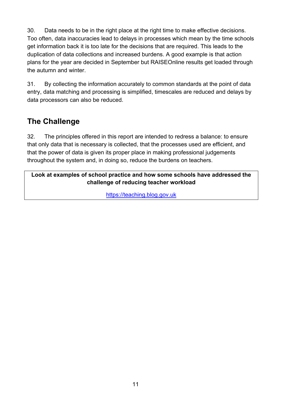30. Data needs to be in the right place at the right time to make effective decisions. Too often, data inaccuracies lead to delays in processes which mean by the time schools get information back it is too late for the decisions that are required. This leads to the duplication of data collections and increased burdens. A good example is that action plans for the year are decided in September but RAISEOnline results get loaded through the autumn and winter.

31. By collecting the information accurately to common standards at the point of data entry, data matching and processing is simplified, timescales are reduced and delays by data processors can also be reduced.

## <span id="page-10-0"></span>**The Challenge**

32. The principles offered in this report are intended to redress a balance: to ensure that only data that is necessary is collected, that the processes used are efficient, and that the power of data is given its proper place in making professional judgements throughout the system and, in doing so, reduce the burdens on teachers.

#### **Look at examples of school practice and how some schools have addressed the challenge of reducing teacher workload**

[https://teaching.blog.gov.uk](https://teaching.blog.gov.uk/)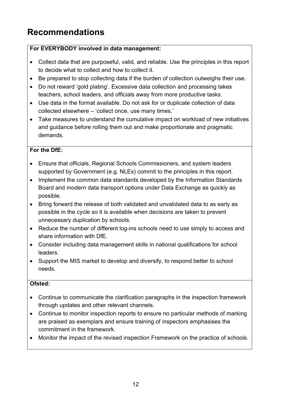# <span id="page-11-0"></span>**Recommendations**

#### **For EVERYBODY involved in data management:**

- Collect data that are purposeful, valid, and reliable. Use the principles in this report to decide what to collect and how to collect it.
- Be prepared to stop collecting data if the burden of collection outweighs their use.
- Do not reward 'gold plating'. Excessive data collection and processing takes teachers, school leaders, and officials away from more productive tasks.
- Use data in the format available. Do not ask for or duplicate collection of data collected elsewhere – 'collect once, use many times.'
- Take measures to understand the cumulative impact on workload of new initiatives and guidance before rolling them out and make proportionate and pragmatic demands.

## **For the DfE:**

- Ensure that officials, Regional Schools Commissioners, and system leaders supported by Government (e.g. NLEs) commit to the principles in this report.
- Implement the common data standards developed by the Information Standards Board and modern data transport options under Data Exchange as quickly as possible.
- Bring forward the release of both validated and unvalidated data to as early as possible in the cycle so it is available when decisions are taken to prevent unnecessary duplication by schools.
- Reduce the number of different log-ins schools need to use simply to access and share information with DfE.
- Consider including data management skills in national qualifications for school leaders.
- Support the MIS market to develop and diversify, to respond better to school needs.

## **Ofsted:**

- Continue to communicate the clarification paragraphs in the inspection framework through updates and other relevant channels.
- Continue to monitor inspection reports to ensure no particular methods of marking are praised as exemplars and ensure training of inspectors emphasises the commitment in the framework.
- Monitor the impact of the revised inspection Framework on the practice of schools.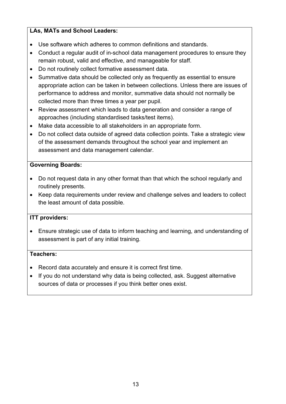#### **LAs, MATs and School Leaders:**

- Use software which adheres to common definitions and standards.
- Conduct a regular audit of in-school data management procedures to ensure they remain robust, valid and effective, and manageable for staff.
- Do not routinely collect formative assessment data.
- Summative data should be collected only as frequently as essential to ensure appropriate action can be taken in between collections. Unless there are issues of performance to address and monitor, summative data should not normally be collected more than three times a year per pupil.
- Review assessment which leads to data generation and consider a range of approaches (including standardised tasks/test items).
- Make data accessible to all stakeholders in an appropriate form.
- Do not collect data outside of agreed data collection points. Take a strategic view of the assessment demands throughout the school year and implement an assessment and data management calendar.

#### **Governing Boards:**

- Do not request data in any other format than that which the school regularly and routinely presents.
- Keep data requirements under review and challenge selves and leaders to collect the least amount of data possible.

#### **ITT providers:**

• Ensure strategic use of data to inform teaching and learning, and understanding of assessment is part of any initial training.

#### **Teachers:**

- Record data accurately and ensure it is correct first time.
- If you do not understand why data is being collected, ask. Suggest alternative sources of data or processes if you think better ones exist.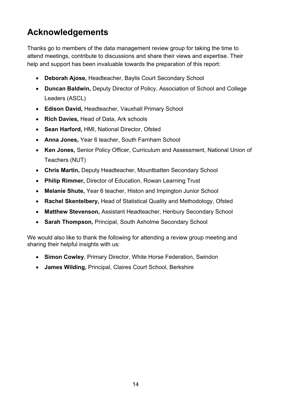# <span id="page-13-0"></span>**Acknowledgements**

Thanks go to members of the data management review group for taking the time to attend meetings, contribute to discussions and share their views and expertise. Their help and support has been invaluable towards the preparation of this report:

- **Deborah Ajose,** Headteacher, Baylis Court Secondary School
- **Duncan Baldwin,** Deputy Director of Policy, Association of School and College Leaders (ASCL)
- **Edison David,** Headteacher, Vauxhall Primary School
- **Rich Davies,** Head of Data, Ark schools
- **Sean Harford,** HMI, National Director, Ofsted
- **Anna Jones,** Year 6 teacher, South Farnham School
- **Ken Jones,** Senior Policy Officer, Curriculum and Assessment, National Union of Teachers (NUT)
- **Chris Martin,** Deputy Headteacher, Mountbatten Secondary School
- **Philip Rimmer,** Director of Education, Rowan Learning Trust
- **Melanie Shute,** Year 6 teacher, Histon and Impington Junior School
- **Rachel Skentelbery,** Head of Statistical Quality and Methodology, Ofsted
- **Matthew Stevenson,** Assistant Headteacher, Henbury Secondary School
- **Sarah Thompson,** Principal, South Axholme Secondary School

We would also like to thank the following for attending a review group meeting and sharing their helpful insights with us:

- **Simon Cowley**, Primary Director, White Horse Federation, Swindon
- **James Wilding,** Principal, Claires Court School, Berkshire